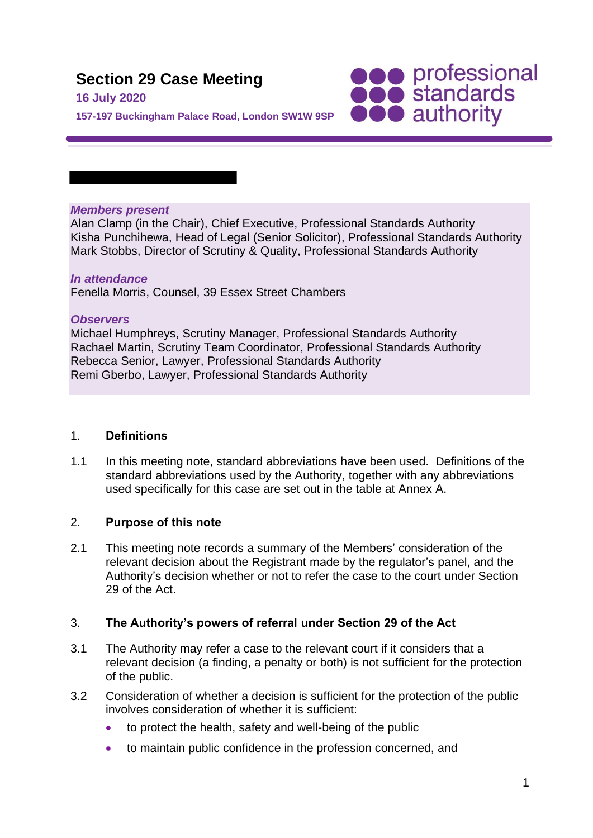# **Section 29 Case Meeting**

# **16 July 2020**

**SOO professional**<br> **SOO standards**<br> **OOO** authority

**157-197 Buckingham Palace Road, London SW1W 9SP**

# *Members present*

Alan Clamp (in the Chair), Chief Executive, Professional Standards Authority Kisha Punchihewa, Head of Legal (Senior Solicitor), Professional Standards Authority Mark Stobbs, Director of Scrutiny & Quality, Professional Standards Authority

#### *In attendance* Fenella Morris, Counsel, 39 Essex Street Chambers

# *Observers*

Michael Humphreys, Scrutiny Manager, Professional Standards Authority Rachael Martin, Scrutiny Team Coordinator, Professional Standards Authority Rebecca Senior, Lawyer, Professional Standards Authority Remi Gberbo, Lawyer, Professional Standards Authority

# 1. **Definitions**

1.1 In this meeting note, standard abbreviations have been used. Definitions of the standard abbreviations used by the Authority, together with any abbreviations used specifically for this case are set out in the table at Annex A.

# 2. **Purpose of this note**

2.1 This meeting note records a summary of the Members' consideration of the relevant decision about the Registrant made by the regulator's panel, and the Authority's decision whether or not to refer the case to the court under Section 29 of the Act.

# 3. **The Authority's powers of referral under Section 29 of the Act**

- 3.1 The Authority may refer a case to the relevant court if it considers that a relevant decision (a finding, a penalty or both) is not sufficient for the protection of the public.
- 3.2 Consideration of whether a decision is sufficient for the protection of the public involves consideration of whether it is sufficient:
	- to protect the health, safety and well-being of the public
	- to maintain public confidence in the profession concerned, and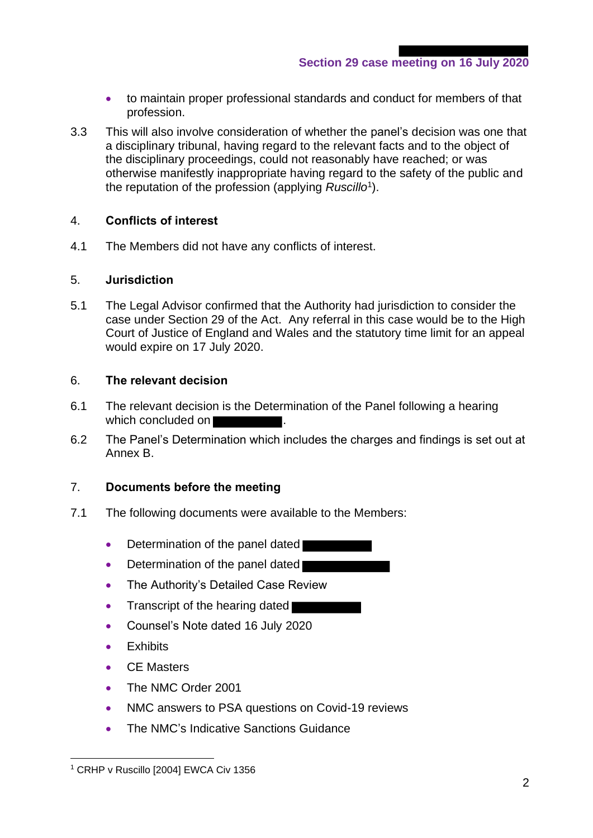- to maintain proper professional standards and conduct for members of that profession.
- 3.3 This will also involve consideration of whether the panel's decision was one that a disciplinary tribunal, having regard to the relevant facts and to the object of the disciplinary proceedings, could not reasonably have reached; or was otherwise manifestly inappropriate having regard to the safety of the public and the reputation of the profession (applying *Ruscillo*<sup>1</sup> ).

# 4. **Conflicts of interest**

4.1 The Members did not have any conflicts of interest.

# 5. **Jurisdiction**

5.1 The Legal Advisor confirmed that the Authority had jurisdiction to consider the case under Section 29 of the Act. Any referral in this case would be to the High Court of Justice of England and Wales and the statutory time limit for an appeal would expire on 17 July 2020.

# 6. **The relevant decision**

- 6.1 The relevant decision is the Determination of the Panel following a hearing which concluded on
- 6.2 The Panel's Determination which includes the charges and findings is set out at Annex B.

# 7. **Documents before the meeting**

- 7.1 The following documents were available to the Members:
	- Determination of the panel dated
	- Determination of the panel dated
	- The Authority's Detailed Case Review
	- Transcript of the hearing dated
	- Counsel's Note dated 16 July 2020
	- Exhibits
	- CE Masters
	- The NMC Order 2001
	- NMC answers to PSA questions on Covid-19 reviews
	- The NMC's Indicative Sanctions Guidance

<sup>&</sup>lt;sup>1</sup> CRHP v Ruscillo [2004] EWCA Civ 1356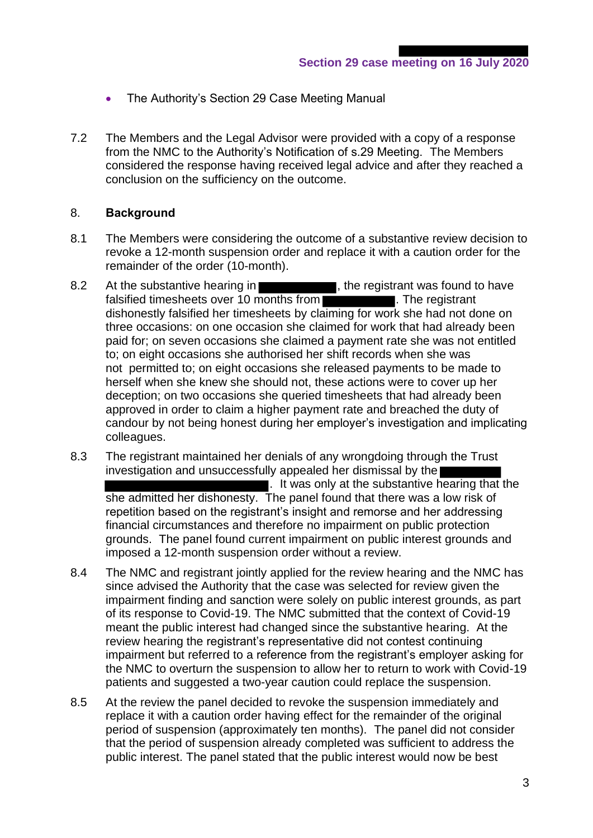- The Authority's Section 29 Case Meeting Manual
- 7.2 The Members and the Legal Advisor were provided with a copy of a response from the NMC to the Authority's Notification of s.29 Meeting. The Members considered the response having received legal advice and after they reached a conclusion on the sufficiency on the outcome.

## 8. **Background**

- 8.1 The Members were considering the outcome of a substantive review decision to revoke a 12-month suspension order and replace it with a caution order for the remainder of the order (10-month).
- 8.2 At the substantive hearing in **Example 2.2**, the registrant was found to have falsified timesheets over 10 months from dishonestly falsified her timesheets by claiming for work she had not done on three occasions: on one occasion she claimed for work that had already been paid for; on seven occasions she claimed a payment rate she was not entitled to; on eight occasions she authorised her shift records when she was not permitted to; on eight occasions she released payments to be made to herself when she knew she should not, these actions were to cover up her deception; on two occasions she queried timesheets that had already been approved in order to claim a higher payment rate and breached the duty of candour by not being honest during her employer's investigation and implicating colleagues.
- 8.3 The registrant maintained her denials of any wrongdoing through the Trust investigation and unsuccessfully appealed her dismissal by the  $\blacksquare$ . It was only at the substantive hearing that the she admitted her dishonesty. The panel found that there was a low risk of repetition based on the registrant's insight and remorse and her addressing financial circumstances and therefore no impairment on public protection grounds. The panel found current impairment on public interest grounds and imposed a 12-month suspension order without a review.
- 8.4 The NMC and registrant jointly applied for the review hearing and the NMC has since advised the Authority that the case was selected for review given the impairment finding and sanction were solely on public interest grounds, as part of its response to Covid-19. The NMC submitted that the context of Covid-19 meant the public interest had changed since the substantive hearing. At the review hearing the registrant's representative did not contest continuing impairment but referred to a reference from the registrant's employer asking for the NMC to overturn the suspension to allow her to return to work with Covid-19 patients and suggested a two-year caution could replace the suspension.
- 8.5 At the review the panel decided to revoke the suspension immediately and replace it with a caution order having effect for the remainder of the original period of suspension (approximately ten months). The panel did not consider that the period of suspension already completed was sufficient to address the public interest. The panel stated that the public interest would now be best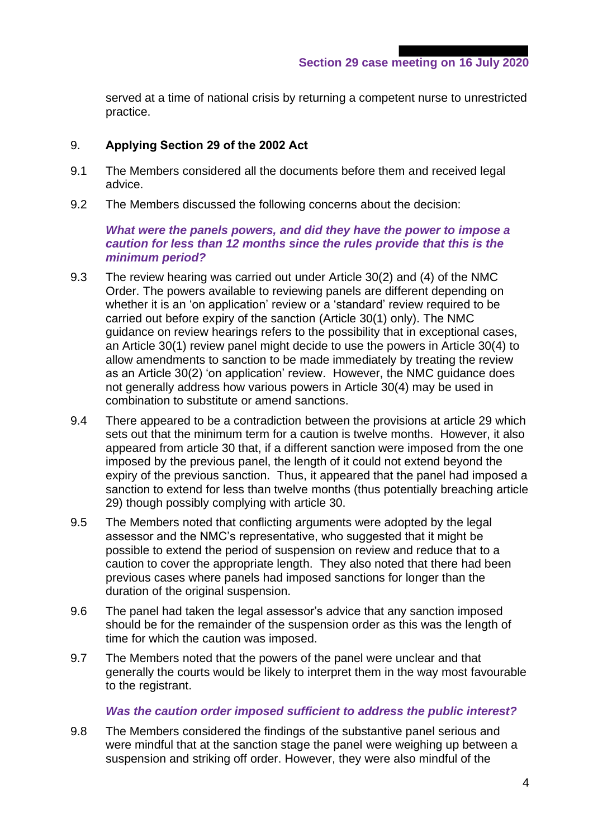served at a time of national crisis by returning a competent nurse to unrestricted practice.

# 9. **Applying Section 29 of the 2002 Act**

- 9.1 The Members considered all the documents before them and received legal advice.
- 9.2 The Members discussed the following concerns about the decision:

#### *What were the panels powers, and did they have the power to impose a caution for less than 12 months since the rules provide that this is the minimum period?*

- 9.3 The review hearing was carried out under Article 30(2) and (4) of the NMC Order. The powers available to reviewing panels are different depending on whether it is an 'on application' review or a 'standard' review required to be carried out before expiry of the sanction (Article 30(1) only). The NMC guidance on review hearings refers to the possibility that in exceptional cases, an Article 30(1) review panel might decide to use the powers in Article 30(4) to allow amendments to sanction to be made immediately by treating the review as an Article 30(2) 'on application' review. However, the NMC guidance does not generally address how various powers in Article 30(4) may be used in combination to substitute or amend sanctions.
- 9.4 There appeared to be a contradiction between the provisions at article 29 which sets out that the minimum term for a caution is twelve months. However, it also appeared from article 30 that, if a different sanction were imposed from the one imposed by the previous panel, the length of it could not extend beyond the expiry of the previous sanction. Thus, it appeared that the panel had imposed a sanction to extend for less than twelve months (thus potentially breaching article 29) though possibly complying with article 30.
- 9.5 The Members noted that conflicting arguments were adopted by the legal assessor and the NMC's representative, who suggested that it might be possible to extend the period of suspension on review and reduce that to a caution to cover the appropriate length. They also noted that there had been previous cases where panels had imposed sanctions for longer than the duration of the original suspension.
- 9.6 The panel had taken the legal assessor's advice that any sanction imposed should be for the remainder of the suspension order as this was the length of time for which the caution was imposed.
- 9.7 The Members noted that the powers of the panel were unclear and that generally the courts would be likely to interpret them in the way most favourable to the registrant.

# *Was the caution order imposed sufficient to address the public interest?*

9.8 The Members considered the findings of the substantive panel serious and were mindful that at the sanction stage the panel were weighing up between a suspension and striking off order. However, they were also mindful of the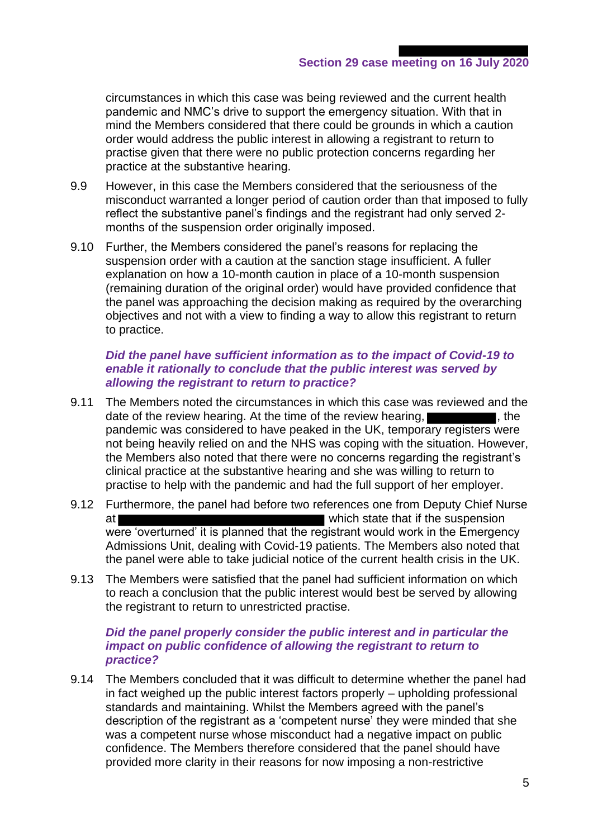circumstances in which this case was being reviewed and the current health pandemic and NMC's drive to support the emergency situation. With that in mind the Members considered that there could be grounds in which a caution order would address the public interest in allowing a registrant to return to practise given that there were no public protection concerns regarding her practice at the substantive hearing.

- 9.9 However, in this case the Members considered that the seriousness of the misconduct warranted a longer period of caution order than that imposed to fully reflect the substantive panel's findings and the registrant had only served 2 months of the suspension order originally imposed.
- 9.10 Further, the Members considered the panel's reasons for replacing the suspension order with a caution at the sanction stage insufficient. A fuller explanation on how a 10-month caution in place of a 10-month suspension (remaining duration of the original order) would have provided confidence that the panel was approaching the decision making as required by the overarching objectives and not with a view to finding a way to allow this registrant to return to practice.

# *Did the panel have sufficient information as to the impact of Covid-19 to enable it rationally to conclude that the public interest was served by allowing the registrant to return to practice?*

- 9.11 The Members noted the circumstances in which this case was reviewed and the date of the review hearing. At the time of the review hearing,  $\blacksquare$ , the pandemic was considered to have peaked in the UK, temporary registers were not being heavily relied on and the NHS was coping with the situation. However, the Members also noted that there were no concerns regarding the registrant's clinical practice at the substantive hearing and she was willing to return to practise to help with the pandemic and had the full support of her employer.
- 9.12 Furthermore, the panel had before two references one from Deputy Chief Nurse at which state that if the suspension were 'overturned' it is planned that the registrant would work in the Emergency Admissions Unit, dealing with Covid-19 patients. The Members also noted that the panel were able to take judicial notice of the current health crisis in the UK.
- 9.13 The Members were satisfied that the panel had sufficient information on which to reach a conclusion that the public interest would best be served by allowing the registrant to return to unrestricted practise.

# *Did the panel properly consider the public interest and in particular the impact on public confidence of allowing the registrant to return to practice?*

9.14 The Members concluded that it was difficult to determine whether the panel had in fact weighed up the public interest factors properly – upholding professional standards and maintaining. Whilst the Members agreed with the panel's description of the registrant as a 'competent nurse' they were minded that she was a competent nurse whose misconduct had a negative impact on public confidence. The Members therefore considered that the panel should have provided more clarity in their reasons for now imposing a non-restrictive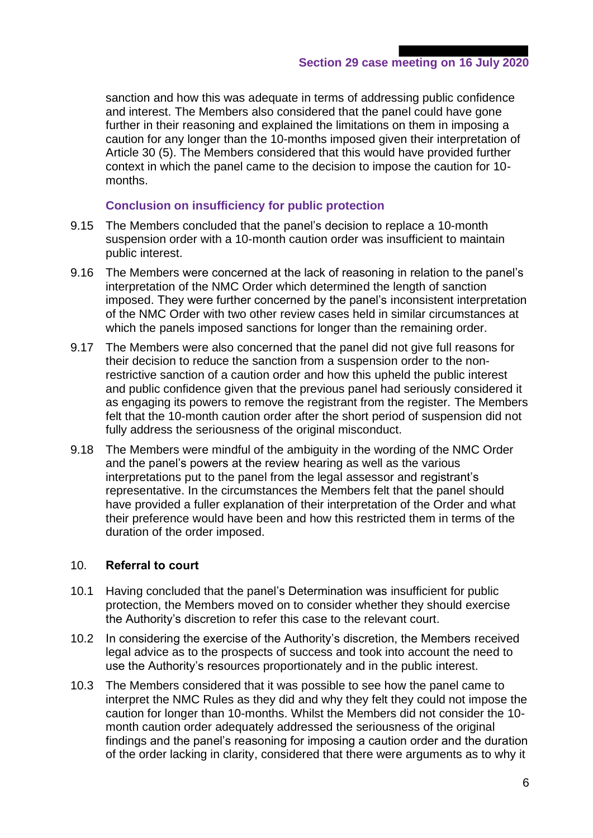sanction and how this was adequate in terms of addressing public confidence and interest. The Members also considered that the panel could have gone further in their reasoning and explained the limitations on them in imposing a caution for any longer than the 10-months imposed given their interpretation of Article 30 (5). The Members considered that this would have provided further context in which the panel came to the decision to impose the caution for 10 months.

# **Conclusion on insufficiency for public protection**

- 9.15 The Members concluded that the panel's decision to replace a 10-month suspension order with a 10-month caution order was insufficient to maintain public interest.
- 9.16 The Members were concerned at the lack of reasoning in relation to the panel's interpretation of the NMC Order which determined the length of sanction imposed. They were further concerned by the panel's inconsistent interpretation of the NMC Order with two other review cases held in similar circumstances at which the panels imposed sanctions for longer than the remaining order.
- 9.17 The Members were also concerned that the panel did not give full reasons for their decision to reduce the sanction from a suspension order to the nonrestrictive sanction of a caution order and how this upheld the public interest and public confidence given that the previous panel had seriously considered it as engaging its powers to remove the registrant from the register. The Members felt that the 10-month caution order after the short period of suspension did not fully address the seriousness of the original misconduct.
- 9.18 The Members were mindful of the ambiguity in the wording of the NMC Order and the panel's powers at the review hearing as well as the various interpretations put to the panel from the legal assessor and registrant's representative. In the circumstances the Members felt that the panel should have provided a fuller explanation of their interpretation of the Order and what their preference would have been and how this restricted them in terms of the duration of the order imposed.

# 10. **Referral to court**

- 10.1 Having concluded that the panel's Determination was insufficient for public protection, the Members moved on to consider whether they should exercise the Authority's discretion to refer this case to the relevant court.
- 10.2 In considering the exercise of the Authority's discretion, the Members received legal advice as to the prospects of success and took into account the need to use the Authority's resources proportionately and in the public interest.
- 10.3 The Members considered that it was possible to see how the panel came to interpret the NMC Rules as they did and why they felt they could not impose the caution for longer than 10-months. Whilst the Members did not consider the 10 month caution order adequately addressed the seriousness of the original findings and the panel's reasoning for imposing a caution order and the duration of the order lacking in clarity, considered that there were arguments as to why it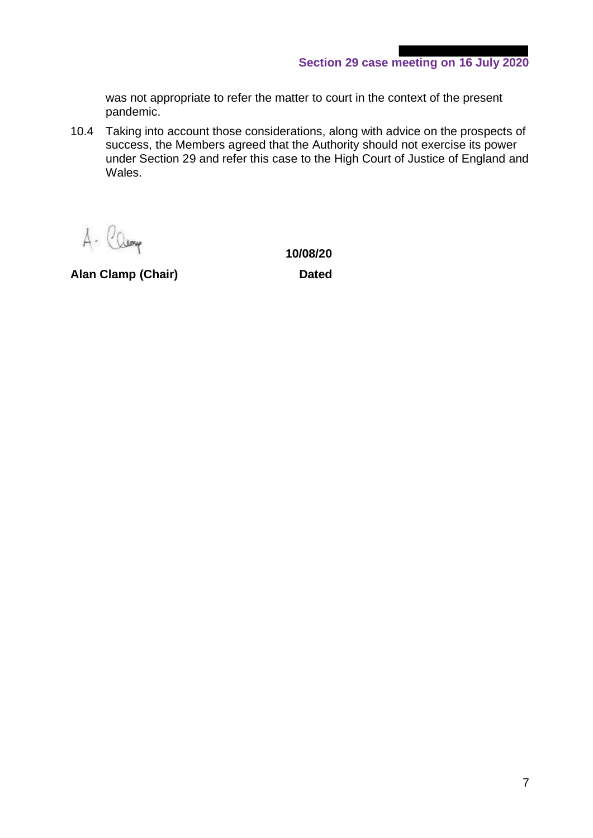was not appropriate to refer the matter to court in the context of the present pandemic.

10.4 Taking into account those considerations, along with advice on the prospects of success, the Members agreed that the Authority should not exercise its power under Section 29 and refer this case to the High Court of Justice of England and Wales.

A- Camp

**Alan Clamp (Chair) Dated**

**10/08/20**